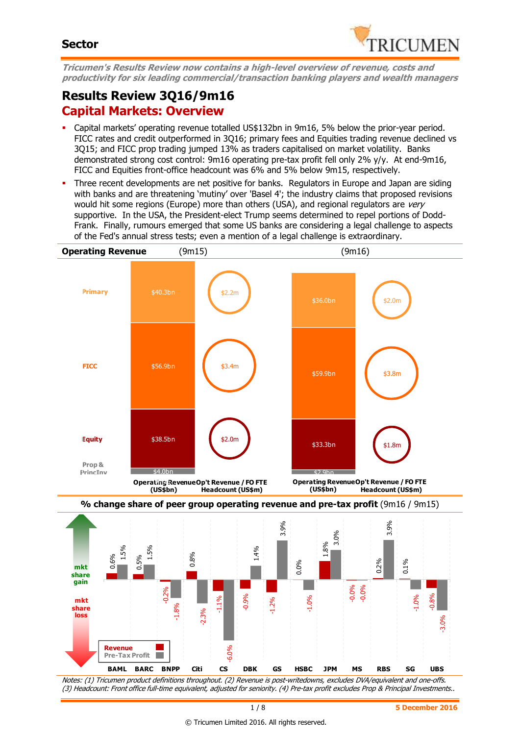

**Tricumen's Results Review now contains a high-level overview of revenue, costs and productivity for six leading commercial/transaction banking players and wealth managers** 

# **Results Review 3Q16/9m16 Capital Markets: Overview**

- Capital markets' operating revenue totalled US\$132bn in 9m16, 5% below the prior-year period. FICC rates and credit outperformed in 3Q16; primary fees and Equities trading revenue declined vs 3Q15; and FICC prop trading jumped 13% as traders capitalised on market volatility. Banks demonstrated strong cost control: 9m16 operating pre-tax profit fell only 2% y/y. At end-9m16, FICC and Equities front-office headcount was 6% and 5% below 9m15, respectively.
- Three recent developments are net positive for banks. Regulators in Europe and Japan are siding with banks and are threatening 'mutiny' over 'Basel 4'; the industry claims that proposed revisions would hit some regions (Europe) more than others (USA), and regional regulators are very supportive. In the USA, the President-elect Trump seems determined to repel portions of Dodd-Frank. Finally, rumours emerged that some US banks are considering a legal challenge to aspects of the Fed's annual stress tests; even a mention of a legal challenge is extraordinary.



 $-0.2\%$ 

٠

-0.08

-0.06

**Revenue Pre-Tax Profit**

mkt <sub>—</sub>

**share gain**

**share loss**

-1.8%

 $8<sub>o</sub>$ 

-6.0%

-2.3%

-0.9%

-1.2%

-1.0%

-0.0%

-0.0%

-0.8%

-3.0%

-1.0%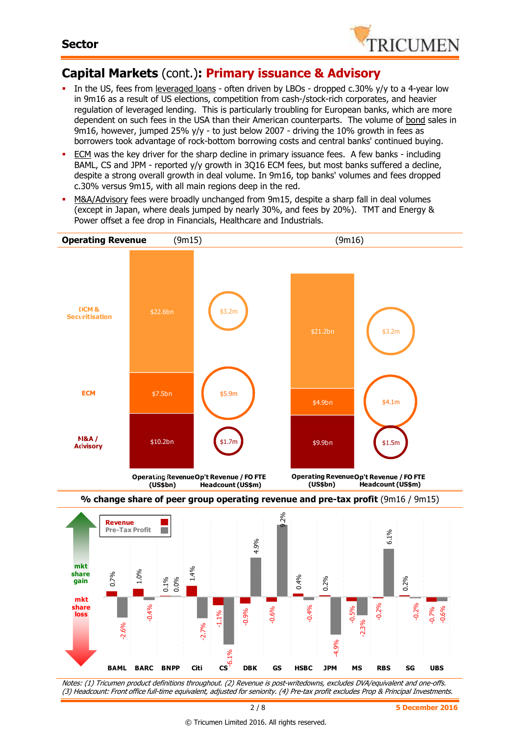

## **Capital Markets** (cont.)**: Primary issuance & Advisory**

- In the US, fees from leveraged loans often driven by LBOs dropped c.30% y/y to a 4-year low in 9m16 as a result of US elections, competition from cash-/stock-rich corporates, and heavier regulation of leveraged lending. This is particularly troubling for European banks, which are more dependent on such fees in the USA than their American counterparts. The volume of bond sales in 9m16, however, jumped 25% y/y - to just below 2007 - driving the 10% growth in fees as borrowers took advantage of rock-bottom borrowing costs and central banks' continued buying.
- ECM was the key driver for the sharp decline in primary issuance fees. A few banks including BAML, CS and JPM - reported y/y growth in 3Q16 ECM fees, but most banks suffered a decline, despite a strong overall growth in deal volume. In 9m16, top banks' volumes and fees dropped c.30% versus 9m15, with all main regions deep in the red.
- M&A/Advisory fees were broadly unchanged from 9m15, despite a sharp fall in deal volumes (except in Japan, where deals jumped by nearly 30%, and fees by 20%). TMT and Energy & Power offset a fee drop in Financials, Healthcare and Industrials.

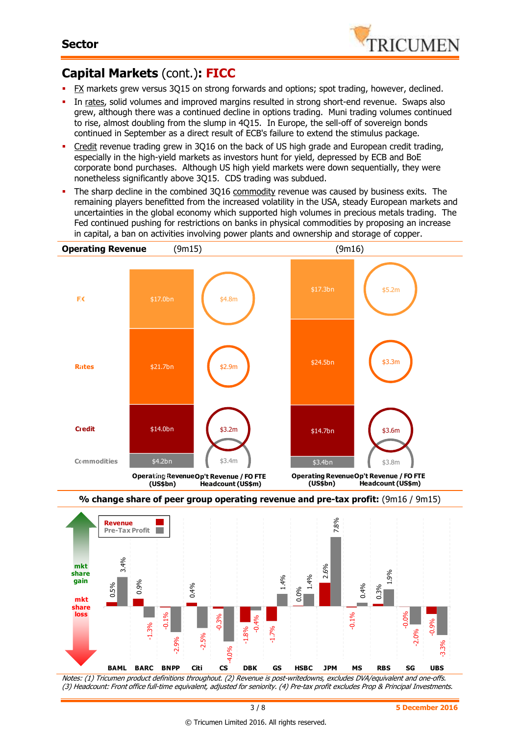

# **Capital Markets** (cont.)**: FICC**

- FX markets grew versus 3Q15 on strong forwards and options; spot trading, however, declined.
- In rates, solid volumes and improved margins resulted in strong short-end revenue. Swaps also grew, although there was a continued decline in options trading. Muni trading volumes continued to rise, almost doubling from the slump in 4Q15. In Europe, the sell-off of sovereign bonds continued in September as a direct result of ECB's failure to extend the stimulus package.
- Credit revenue trading grew in 3Q16 on the back of US high grade and European credit trading, especially in the high-yield markets as investors hunt for yield, depressed by ECB and BoE corporate bond purchases. Although US high yield markets were down sequentially, they were nonetheless significantly above 3Q15. CDS trading was subdued.
- The sharp decline in the combined 3Q16 commodity revenue was caused by business exits. The remaining players benefitted from the increased volatility in the USA, steady European markets and uncertainties in the global economy which supported high volumes in precious metals trading. The Fed continued pushing for restrictions on banks in physical commodities by proposing an increase in capital, a ban on activities involving power plants and ownership and storage of copper.



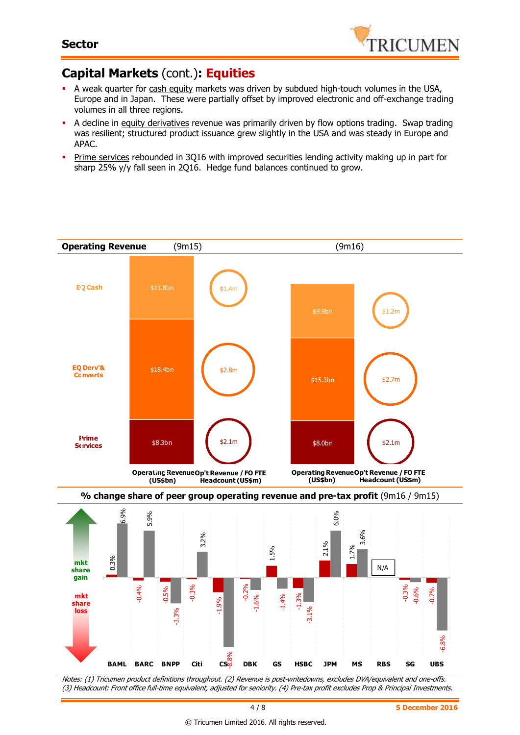

## **Capital Markets** (cont.)**: Equities**

- A weak quarter for cash equity markets was driven by subdued high-touch volumes in the USA, Europe and in Japan. These were partially offset by improved electronic and off-exchange trading volumes in all three regions.
- A decline in equity derivatives revenue was primarily driven by flow options trading. Swap trading was resilient; structured product issuance grew slightly in the USA and was steady in Europe and APAC.
- **Prime services rebounded in 3Q16 with improved securities lending activity making up in part for** sharp 25% y/y fall seen in 2Q16. Hedge fund balances continued to grow.

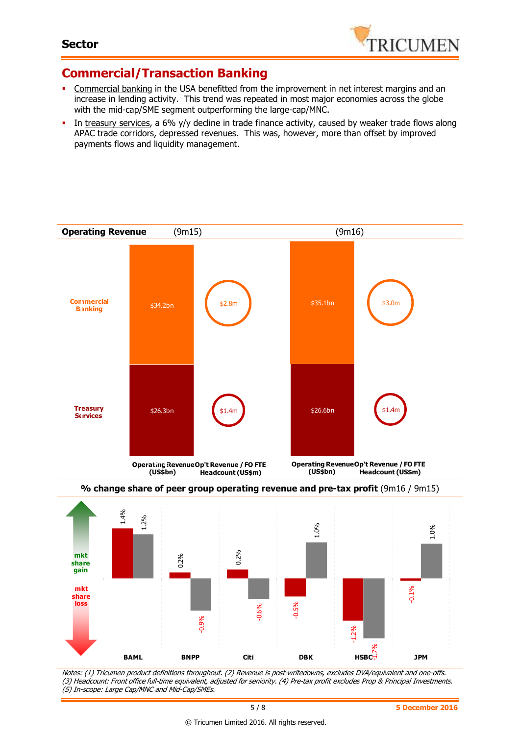

### **Commercial/Transaction Banking**

- Commercial banking in the USA benefitted from the improvement in net interest margins and an increase in lending activity. This trend was repeated in most major economies across the globe with the mid-cap/SME segment outperforming the large-cap/MNC.
- In treasury services, a 6% y/y decline in trade finance activity, caused by weaker trade flows along APAC trade corridors, depressed revenues. This was, however, more than offset by improved payments flows and liquidity management.





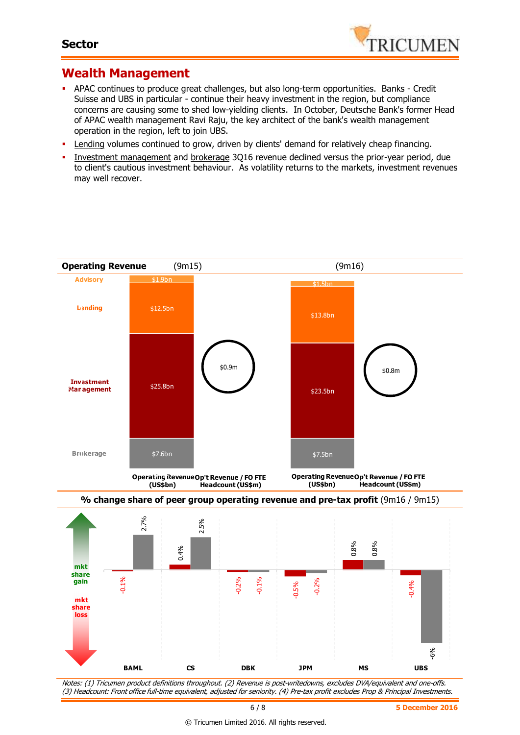

#### **Wealth Management**

- APAC continues to produce great challenges, but also long-term opportunities. Banks Credit Suisse and UBS in particular - continue their heavy investment in the region, but compliance concerns are causing some to shed low-yielding clients. In October, Deutsche Bank's former Head of APAC wealth management Ravi Raju, the key architect of the bank's wealth management operation in the region, left to join UBS.
- **Lending volumes continued to grow, driven by clients' demand for relatively cheap financing.**
- **Investment management and brokerage 3Q16 revenue declined versus the prior-year period, due** to client's cautious investment behaviour. As volatility returns to the markets, investment revenues may well recover.

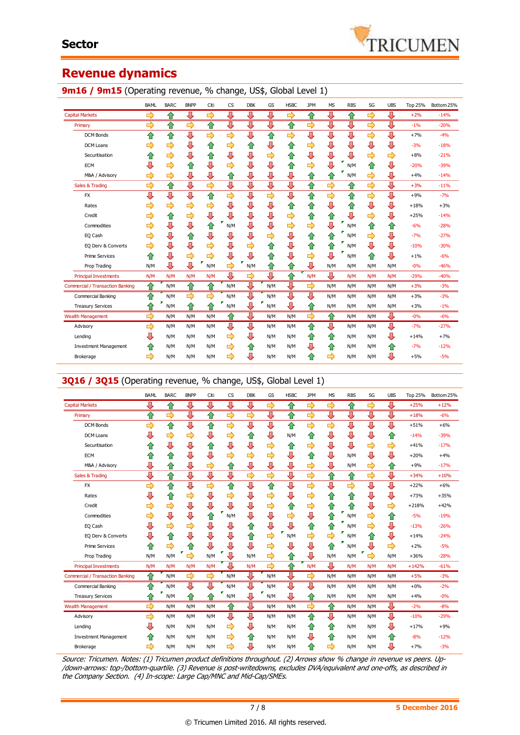

### **Revenue dynamics**

#### 9m16 / 9m15 (Operating revenue, % change, US\$, Global Level 1)

|                                         | <b>BAML</b>   | <b>BARC</b>   | <b>BNPP</b>   | Citi | <b>CS</b> | <b>DBK</b> | GS  | <b>HSBC</b> | <b>JPM</b> | <b>MS</b> | <b>RBS</b> | SG  | <b>UBS</b> | <b>Top 25%</b> | Bottom 25% |
|-----------------------------------------|---------------|---------------|---------------|------|-----------|------------|-----|-------------|------------|-----------|------------|-----|------------|----------------|------------|
| <b>Capital Markets</b>                  | $\Rightarrow$ | 合             | ⇩             | ⇨    | ⇩         | ⇩          | ⊕   | ⇨           | ⇧          | ⇩         | ⇧          | ⇨   | ⇩          | $+2%$          | $-14%$     |
| Primary                                 | ⇨             | 合             | ⇨             | ⇧    | ⇩         | ⇩          | ⇩   | ⇧           | ⇨          | ⇩         | ⇩          | ⇨   | ⇩          | $-1%$          | $-20%$     |
| <b>DCM Bonds</b>                        | ⇧             | ⇧             | ⊕             | ⇨    | ⇨         | ⇩          | ⇧   | ⇨           | ⇩          | ⇩         | ⇩          | ⇨   | ⊕          | $+7%$          | $-4%$      |
| <b>DCM Loans</b>                        | ⇨             | $\Rightarrow$ | ⇩             | ⇧    | ⇨         | ⇧          | ⇩   | ⇧           | ⇨          | ⇩         | ⇩          | ⇩   | ⇩          | $-3%$          | $-18%$     |
| Securitisation                          | ⇧             | $\Rightarrow$ | ⇩             | ⇧    | ⇩         | ⇩          | ⇨   | ⇧           | ⇩          | ⇩         | ⇩          | ⇨   | ⇨          | $+8%$          | $-21%$     |
| <b>ECM</b>                              | ⇩             | $\Rightarrow$ | ⇧             | ⇩    | ⇨         | ⊕          | ⊕   | ⇧           | ⇨          | ⇩         | ÷<br>N/M   | ⇧   | ⇩          | $-20%$         | $-39%$     |
| M&A / Advisory                          | ⇨             | $\Rightarrow$ | ⇩             | ⇩    | ✿         | ⊕          | ⇩   | ⇩           | ⇮          | ⇧         | ٠<br>N/M   | ⇨   | ⇩          | $+4%$          | $-14%$     |
| Sales & Trading                         | ⇨             | ⇧             | ⇩             | ⇨    | ⇩         | ⇩          | ⇩   | ⇩           | ⇧          | ⇨         | ⇮          | ⇨   | ⊕          | $+3%$          | $-11%$     |
| <b>FX</b>                               | ⇩             | ⊕             | ⇩             | ⇧    | ⇨         | ⊕          | ⇨   | ⇩           | ⇧          | ⇨         | ⇧          | ⇨   | ⇩          | $+9%$          | $-7%$      |
| Rates                                   | ⇨             | $\Rightarrow$ | ⇨             | ⇨    | ⇩         | ⇩          | ⇩   | €           | ⇧          | ⇩         | ⇑          | ⇩   | ⇩          | $+18%$         | $+3%$      |
| Credit                                  | ⇨             | 合             | $\Rightarrow$ | ⇩    | ⊕         | ⇩          | ⇩   | ⇨           | ⇧          | ⇧         | ⇩          | ⇨   | ⇩          | $+25%$         | $-14%$     |
| Commodities                             | ⇨             | ⇩             | ⊕             | ⇧    | F<br>N/M  | ⇩          | ⊕   | ⇨           | ⇨          | ⇩         | ٠<br>N/M   | ⇧   | ⇧          | $-6%$          | $-28%$     |
| EQ Cash                                 | ⇨             | ⇩             | ⇧             | ⇩    | ⇩         | л          | ⇨   | ⇩           | ⇑          | ⇧         | Ŧ<br>N/M   | ⇨   | ⇩          | $-7%$          | $-27%$     |
| EQ Derv & Converts                      | ⇨             | ⇩             | ⇩             | ⇨    | ⇩         | ⇨          | ⇑   | ⇩           | ⇑          | ⇧         | N/M        | ⇩   | ⇩          | $-10%$         | $-30%$     |
| <b>Prime Services</b>                   | ⇧             | ⇩             | ⇨             | ⇨    | ⊕         | ⊕          | 1   | ⇩           | ⇨          | ⇩         | ٠<br>N/M   | ⇧   | ⇩          | $+1%$          | $-6%$      |
| Prop Trading                            | N/M           | ⇩             | ⇩             | N/M  | ⇨         | ٠<br>N/M   | ⇑   | ⇧           | ⊕          | N/M       | N/M        | N/M | N/M        | $-0%$          | $-46%$     |
| <b>Principal Investments</b>            | N/M           | N/M           | N/M           | N/M  | Л         | ⇨          | J,  | ♦           | N/M        | ⊕         | N/M        | N/M | N/M        | $-29%$         | $-40%$     |
| <b>Commercial / Transaction Banking</b> | 合             | N/M           | 合             | ⇑    | N/M       | ⊕          | N/M | ⊕           | ⇨          | N/M       | N/M        | N/M | N/M        | $+3%$          | $-3%$      |
| Commercial Banking                      | ⇑             | N/M           | ⇨             | ⇨    | N/M       | ⊕          | N/M | ⊕           | ⊕          | N/M       | N/M        | N/M | N/M        | $+3%$          | $-3%$      |
| <b>Treasury Services</b>                | ⇧             | N/M           | ⇧             | ⇧    | N/M       | ⇩          | N/M | ⊕           | ⇑          | N/M       | N/M        | N/M | N/M        | $+3%$          | $-1%$      |
| <b>Wealth Management</b>                | ⇨             | N/M           | N/M           | N/M  | ⇧         | л          | N/M | N/M         | ⇨          | ✿         | N/M        | N/M | ⇩          | $-0%$          | $-6%$      |
| Advisory                                | ⇨             | N/M           | N/M           | N/M  | ⇩         | ⊕          | N/M | N/M         | ⇧          | ⊕         | N/M        | N/M | ⇩          | $-7%$          | $-27%$     |
| Lending                                 | ⇩             | N/M           | N/M           | N/M  | ⇨         | ⊕          | N/M | N/M         | ⇑          | ⇧         | N/M        | N/M | ⊕          | $+14%$         | $+7%$      |
| <b>Investment Management</b>            | ⇑             | N/M           | N/M           | N/M  | ⇨         | ⇑          | N/M | N/M         | ⊕          | ⇧         | N/M        | N/M | ⇑          | $-7%$          | $-12%$     |
| Brokerage                               | ⇨             | N/M           | N/M           | N/M  | ⇨         | ⊕          | N/M | N/M         | ⇑          | ⇨         | N/M        | N/M | ⇩          | $+5%$          | $-5%$      |

#### **3Q16 / 3Q15** (Operating revenue, % change, US\$, Global Level 1)

|                                         | <b>BAML</b> | <b>BARC</b>   | <b>BNPP</b>   | Citi          | <b>CS</b>     | <b>DBK</b> | GS            | <b>HSBC</b> | <b>JPM</b> | <b>MS</b>     | <b>RBS</b>    | SG  | <b>UBS</b> | Top 25% | Bottom 25% |
|-----------------------------------------|-------------|---------------|---------------|---------------|---------------|------------|---------------|-------------|------------|---------------|---------------|-----|------------|---------|------------|
| <b>Capital Markets</b>                  | ⇩           | 合             | ⊕             | ⊕             | ⊕             | ⊕          | ⇨             | ⇑           | ⇨          | $\Rightarrow$ | ⇑             | ⇨   | ⊕          | $+25%$  | $+12%$     |
| Primary                                 | ⇧           | ⇨             | ⇩             | ⇧             | $\Rightarrow$ | ⇨          | ⇩             | ⇮           | ⇨          | ⇩             | ⇩             | ⇩   | ⇩          | $+18%$  | $-6%$      |
| <b>DCM Bonds</b>                        | ⇨           | 合             | ⇩             | ⇧             | $\Rightarrow$ | ⊕          | ⇩             | ⇧           | ⇨          | ⇨             | ⊕             | ⊕   | ⊕          | $+51%$  | $+6%$      |
| <b>DCM Loans</b>                        | ⇩           | ⇨             | ⇨             | ⇩             | ⇨             | ⇧          | ⇩             | N/M         | ⇑          | ⇩             | ⇩             | ⇩   | ⇧          | $-14%$  | $-39%$     |
| Securitisation                          | Ĥ           | ⇩             | ⇩             | ⇧             | ⇩             | ⇩          | ⇨             | ⇧           | ⇨          | ⇩             | ⇩             | ⇨   | ⇨          | $+41%$  | $-17%$     |
| ECM                                     | €           | ⇑             | ⇩             | ⇩             | ⇨             | ⇨          | ⇨             | ⇩           | ⇧          | ⊕             | N/M           | ⇩   | ⇩          | $+20%$  | $+4%$      |
| M&A / Advisory                          | ⇩           | ⇧             | ⇩             | ⇨             | ⇧             | ⇩          | ⇩             | ⇩           | ⇨          | ⇩             | N/M           | ⇨   | ⇧          | $+9%$   | $-17%$     |
| Sales & Trading                         | ⇩           | ⇑             | ⇩             | ⇩             | ⇩             | ⇨          | ⇨             | ⇩           | ⇨          | ⇧             | ⇑             | ⇨   | ⇩          | $+34%$  | $+10%$     |
| <b>FX</b>                               | ⇨           | ⇧             | ⇩             | $\Rightarrow$ | ⇧             | ⇩          | ⇧             | ⇩           | ⇨          | ⇩             | $\Rightarrow$ | ⇩   | ⇩          | $+22%$  | $+6%$      |
| Rates                                   | ⇩           | 合             | ⇨             | ⇩             | $\Rightarrow$ | ⇩          | ⇨             | ⇩           | ⇨          | ⇧             | ⇧             | ⇩   | ⇩          | $+73%$  | $+35%$     |
| Credit                                  | ⇨           | ⇨             | ⇩             | ⇩             | ⇩             | ⇩          | ⇨             | ⇧           | ⇨          | ⇧             | ⇧             | ⇩   | ⇨          | $+218%$ | $+42%$     |
| Commodities                             | ⇨           | ⇩             | ⇩             | ⇮             | N/M           | ⇩          | ⇩             | ⇨           | ⇩          | ⇧             | N/M           | ⇨   | 合          | $-5%$   | $-19%$     |
| EQ Cash                                 | ⇩           | ⇨             | $\Rightarrow$ | ⇩             | ⇩             | ⇑          | J             | J           | ⇧          | ⇮             | N/M           | ⇨   | ⇩          | $-13%$  | $-26%$     |
| EQ Derv & Converts                      | ⇩           | 合             | ⇩             | ⇩             | ⇩             | ⇧          | ⇨             | N/M         | ⇨          | ⇨             | N/M           | ⇧   | ⇩          | $+14%$  | $-24%$     |
| <b>Prime Services</b>                   | ⇧           | $\Rightarrow$ | ⇧             | ⇩             | ⇩             | ⊕          | $\Rightarrow$ | ⊕           | ⇩          | ⇧             | N/M           | ⊕   | ⇨          | $+2%$   | $-5%$      |
| Prop Trading                            | N/M         | N/M           | $\Rightarrow$ | N/M           | J             | N/M        | ⇨             | ⇧           | J          | N/M           | N/M           | ⇨   | N/M        | $+36%$  | $-28%$     |
| <b>Principal Investments</b>            | N/M         | N/M           | N/M           | N/M           | Л             | N/M        | ⇨             | 合           | N/M        | ⊕             | N/M           | N/M | N/M        | $+142%$ | $-61%$     |
| <b>Commercial / Transaction Banking</b> | ⇧           | N/M           | ⇨             | ⇨             | N/M           | ⇩          | N/M           | ⊕           | ⇨          | N/M           | N/M           | N/M | N/M        | $+5%$   | $-3%$      |
| Commercial Banking                      | ⇧           | N/M           | ⇩             | л             | N/M           | ⇩          | N/M           | ⊕           | ⊕          | N/M           | N/M           | N/M | N/M        | $+0%$   | $-2%$      |
| <b>Treasury Services</b>                | ⇧           | N/M           | ⇧             | ⇑             | N/M           | ⇩          | N/M           | ⊕           | ⇮          | N/M           | N/M           | N/M | N/M        | $+4%$   | $-0%$      |
| <b>Wealth Management</b>                | ⇨           | N/M           | N/M           | N/M           | ⇧             | ⇩          | N/M           | N/M         | ⇨          | ⇧             | N/M           | N/M | ⇩          | $-2%$   | $-8%$      |
| Advisory                                | ⇨           | N/M           | N/M           | N/M           | ⇩             | ⊕          | N/M           | N/M         | ⇑          | ⊕             | N/M           | N/M | ⇩          | $-10%$  | $-29%$     |
| Lending                                 | ⇩           | N/M           | N/M           | N/M           | ⇨             | ⇩          | N/M           | N/M         | ⇧          | ⇧             | N/M           | N/M | ⇩          | $+17%$  | $+9%$      |
| <b>Investment Management</b>            | €           | N/M           | N/M           | N/M           | ⇨             | ⇧          | N/M           | N/M         | ⇩          | ⇧             | N/M           | N/M | ⇧          | $-8%$   | $-12%$     |
| Brokerage                               | ⇨           | N/M           | N/M           | N/M           | ⇨             | ⇩          | N/M           | N/M         | ⇑          | ⇨             | N/M           | N/M | ⇩          | $+7%$   | $-3%$      |

Source: Tricumen. Notes: (1) Tricumen product definitions throughout. (2) Arrows show % change in revenue vs peers. Up- /down-arrows: top-/bottom-quartile. (3) Revenue is post-writedowns, excludes DVA/equivalent and one-offs, as described in the Company Section. (4) In-scope: Large Cap/MNC and Mid-Cap/SMEs.